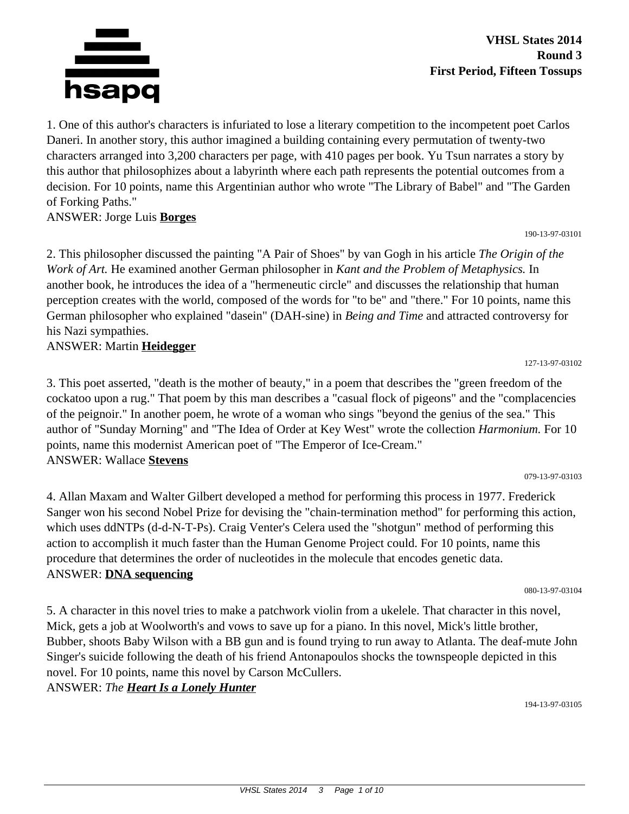

1. One of this author's characters is infuriated to lose a literary competition to the incompetent poet Carlos Daneri. In another story, this author imagined a building containing every permutation of twenty-two characters arranged into 3,200 characters per page, with 410 pages per book. Yu Tsun narrates a story by this author that philosophizes about a labyrinth where each path represents the potential outcomes from a decision. For 10 points, name this Argentinian author who wrote "The Library of Babel" and "The Garden of Forking Paths."

#### ANSWER: Jorge Luis **Borges**

2. This philosopher discussed the painting "A Pair of Shoes" by van Gogh in his article *The Origin of the Work of Art.* He examined another German philosopher in *Kant and the Problem of Metaphysics.* In another book, he introduces the idea of a "hermeneutic circle" and discusses the relationship that human perception creates with the world, composed of the words for "to be" and "there." For 10 points, name this German philosopher who explained "dasein" (DAH-sine) in *Being and Time* and attracted controversy for his Nazi sympathies.

#### ANSWER: Martin **Heidegger**

3. This poet asserted, "death is the mother of beauty," in a poem that describes the "green freedom of the cockatoo upon a rug." That poem by this man describes a "casual flock of pigeons" and the "complacencies of the peignoir." In another poem, he wrote of a woman who sings "beyond the genius of the sea." This author of "Sunday Morning" and "The Idea of Order at Key West" wrote the collection *Harmonium.* For 10 points, name this modernist American poet of "The Emperor of Ice-Cream." ANSWER: Wallace **Stevens**

079-13-97-03103

127-13-97-03102

190-13-97-03101

4. Allan Maxam and Walter Gilbert developed a method for performing this process in 1977. Frederick Sanger won his second Nobel Prize for devising the "chain-termination method" for performing this action, which uses ddNTPs (d-d-N-T-Ps). Craig Venter's Celera used the "shotgun" method of performing this action to accomplish it much faster than the Human Genome Project could. For 10 points, name this procedure that determines the order of nucleotides in the molecule that encodes genetic data. ANSWER: **DNA sequencing**

080-13-97-03104

5. A character in this novel tries to make a patchwork violin from a ukelele. That character in this novel, Mick, gets a job at Woolworth's and vows to save up for a piano. In this novel, Mick's little brother, Bubber, shoots Baby Wilson with a BB gun and is found trying to run away to Atlanta. The deaf-mute John Singer's suicide following the death of his friend Antonapoulos shocks the townspeople depicted in this novel. For 10 points, name this novel by Carson McCullers.

ANSWER: *The Heart Is a Lonely Hunter*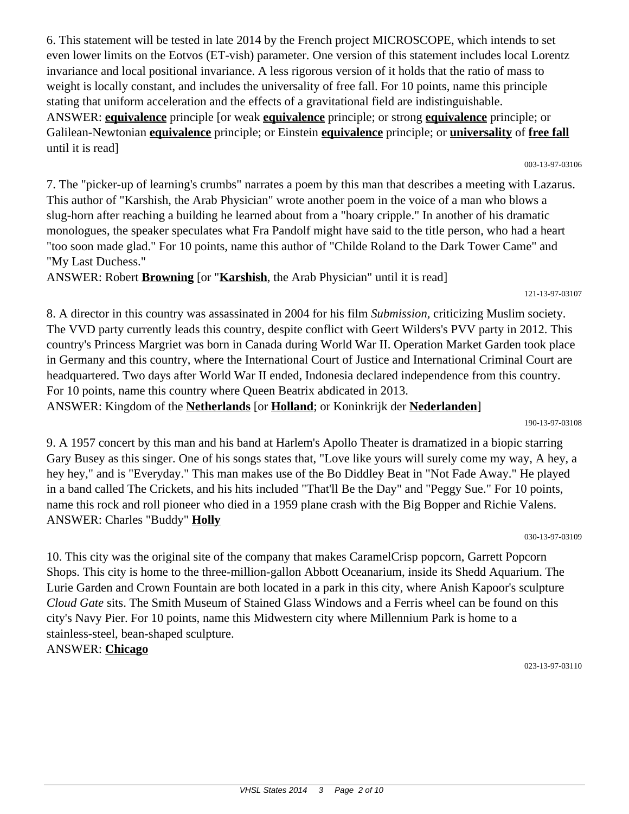6. This statement will be tested in late 2014 by the French project MICROSCOPE, which intends to set even lower limits on the Eotvos (ET-vish) parameter. One version of this statement includes local Lorentz invariance and local positional invariance. A less rigorous version of it holds that the ratio of mass to weight is locally constant, and includes the universality of free fall. For 10 points, name this principle stating that uniform acceleration and the effects of a gravitational field are indistinguishable. ANSWER: **equivalence** principle [or weak **equivalence** principle; or strong **equivalence** principle; or Galilean-Newtonian **equivalence** principle; or Einstein **equivalence** principle; or **universality** of **free fall** until it is read]

7. The "picker-up of learning's crumbs" narrates a poem by this man that describes a meeting with Lazarus. This author of "Karshish, the Arab Physician" wrote another poem in the voice of a man who blows a slug-horn after reaching a building he learned about from a "hoary cripple." In another of his dramatic monologues, the speaker speculates what Fra Pandolf might have said to the title person, who had a heart "too soon made glad." For 10 points, name this author of "Childe Roland to the Dark Tower Came" and "My Last Duchess."

ANSWER: Robert **Browning** [or "**Karshish**, the Arab Physician" until it is read]

8. A director in this country was assassinated in 2004 for his film *Submission,* criticizing Muslim society. The VVD party currently leads this country, despite conflict with Geert Wilders's PVV party in 2012. This country's Princess Margriet was born in Canada during World War II. Operation Market Garden took place in Germany and this country, where the International Court of Justice and International Criminal Court are headquartered. Two days after World War II ended, Indonesia declared independence from this country. For 10 points, name this country where Queen Beatrix abdicated in 2013. ANSWER: Kingdom of the **Netherlands** [or **Holland**; or Koninkrijk der **Nederlanden**]

9. A 1957 concert by this man and his band at Harlem's Apollo Theater is dramatized in a biopic starring Gary Busey as this singer. One of his songs states that, "Love like yours will surely come my way, A hey, a hey hey," and is "Everyday." This man makes use of the Bo Diddley Beat in "Not Fade Away." He played in a band called The Crickets, and his hits included "That'll Be the Day" and "Peggy Sue." For 10 points, name this rock and roll pioneer who died in a 1959 plane crash with the Big Bopper and Richie Valens. ANSWER: Charles "Buddy" **Holly**

10. This city was the original site of the company that makes CaramelCrisp popcorn, Garrett Popcorn Shops. This city is home to the three-million-gallon Abbott Oceanarium, inside its Shedd Aquarium. The Lurie Garden and Crown Fountain are both located in a park in this city, where Anish Kapoor's sculpture *Cloud Gate* sits. The Smith Museum of Stained Glass Windows and a Ferris wheel can be found on this city's Navy Pier. For 10 points, name this Midwestern city where Millennium Park is home to a stainless-steel, bean-shaped sculpture. ANSWER: **Chicago**

190-13-97-03108

030-13-97-03109

023-13-97-03110

# 121-13-97-03107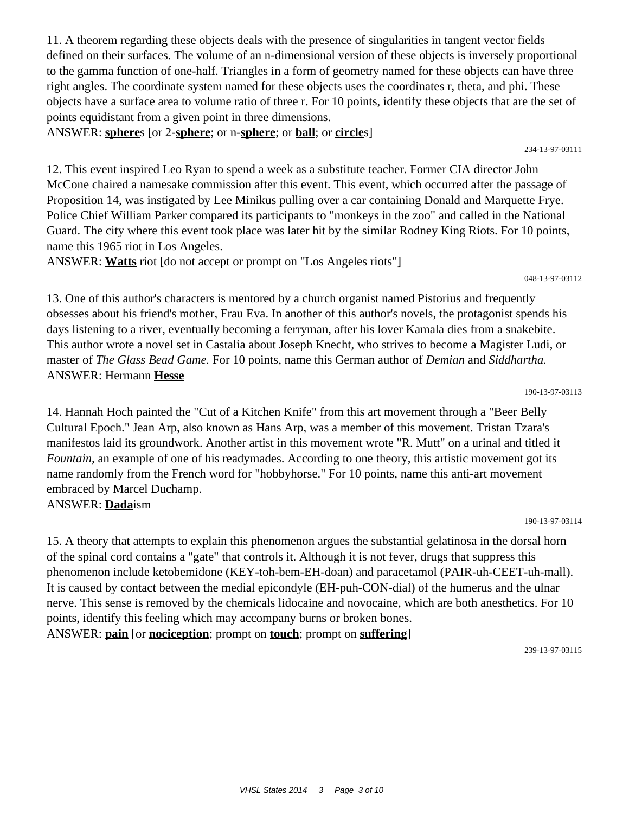11. A theorem regarding these objects deals with the presence of singularities in tangent vector fields defined on their surfaces. The volume of an n-dimensional version of these objects is inversely proportional to the gamma function of one-half. Triangles in a form of geometry named for these objects can have three right angles. The coordinate system named for these objects uses the coordinates r, theta, and phi. These objects have a surface area to volume ratio of three r. For 10 points, identify these objects that are the set of points equidistant from a given point in three dimensions.

ANSWER: **sphere**s [or 2-**sphere**; or n-**sphere**; or **ball**; or **circle**s]

12. This event inspired Leo Ryan to spend a week as a substitute teacher. Former CIA director John McCone chaired a namesake commission after this event. This event, which occurred after the passage of Proposition 14, was instigated by Lee Minikus pulling over a car containing Donald and Marquette Frye. Police Chief William Parker compared its participants to "monkeys in the zoo" and called in the National Guard. The city where this event took place was later hit by the similar Rodney King Riots. For 10 points, name this 1965 riot in Los Angeles.

ANSWER: **Watts** riot [do not accept or prompt on "Los Angeles riots"]

13. One of this author's characters is mentored by a church organist named Pistorius and frequently obsesses about his friend's mother, Frau Eva. In another of this author's novels, the protagonist spends his days listening to a river, eventually becoming a ferryman, after his lover Kamala dies from a snakebite. This author wrote a novel set in Castalia about Joseph Knecht, who strives to become a Magister Ludi, or master of *The Glass Bead Game.* For 10 points, name this German author of *Demian* and *Siddhartha.* ANSWER: Hermann **Hesse**

14. Hannah Hoch painted the "Cut of a Kitchen Knife" from this art movement through a "Beer Belly Cultural Epoch." Jean Arp, also known as Hans Arp, was a member of this movement. Tristan Tzara's manifestos laid its groundwork. Another artist in this movement wrote "R. Mutt" on a urinal and titled it *Fountain,* an example of one of his readymades. According to one theory, this artistic movement got its name randomly from the French word for "hobbyhorse." For 10 points, name this anti-art movement embraced by Marcel Duchamp.

ANSWER: **Dada**ism

190-13-97-03114

15. A theory that attempts to explain this phenomenon argues the substantial gelatinosa in the dorsal horn of the spinal cord contains a "gate" that controls it. Although it is not fever, drugs that suppress this phenomenon include ketobemidone (KEY-toh-bem-EH-doan) and paracetamol (PAIR-uh-CEET-uh-mall). It is caused by contact between the medial epicondyle (EH-puh-CON-dial) of the humerus and the ulnar nerve. This sense is removed by the chemicals lidocaine and novocaine, which are both anesthetics. For 10 points, identify this feeling which may accompany burns or broken bones. ANSWER: **pain** [or **nociception**; prompt on **touch**; prompt on **suffering**]

239-13-97-03115

234-13-97-03111

048-13-97-03112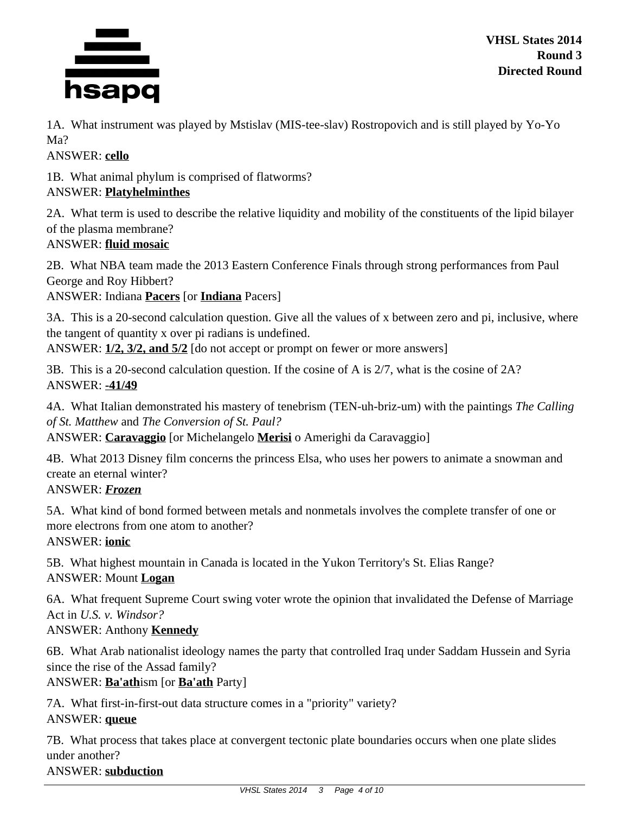

1A. What instrument was played by Mstislav (MIS-tee-slav) Rostropovich and is still played by Yo-Yo Ma?

ANSWER: **cello**

1B. What animal phylum is comprised of flatworms?

# ANSWER: **Platyhelminthes**

2A. What term is used to describe the relative liquidity and mobility of the constituents of the lipid bilayer of the plasma membrane?

## ANSWER: **fluid mosaic**

2B. What NBA team made the 2013 Eastern Conference Finals through strong performances from Paul George and Roy Hibbert?

ANSWER: Indiana **Pacers** [or **Indiana** Pacers]

3A. This is a 20-second calculation question. Give all the values of x between zero and pi, inclusive, where the tangent of quantity x over pi radians is undefined.

ANSWER: **1/2, 3/2, and 5/2** [do not accept or prompt on fewer or more answers]

3B. This is a 20-second calculation question. If the cosine of A is 2/7, what is the cosine of 2A? ANSWER: **-41/49**

4A. What Italian demonstrated his mastery of tenebrism (TEN-uh-briz-um) with the paintings *The Calling of St. Matthew* and *The Conversion of St. Paul?*

ANSWER: **Caravaggio** [or Michelangelo **Merisi** o Amerighi da Caravaggio]

4B. What 2013 Disney film concerns the princess Elsa, who uses her powers to animate a snowman and create an eternal winter?

ANSWER: *Frozen*

5A. What kind of bond formed between metals and nonmetals involves the complete transfer of one or more electrons from one atom to another?

ANSWER: **ionic**

5B. What highest mountain in Canada is located in the Yukon Territory's St. Elias Range? ANSWER: Mount **Logan**

6A. What frequent Supreme Court swing voter wrote the opinion that invalidated the Defense of Marriage Act in *U.S. v. Windsor?*

## ANSWER: Anthony **Kennedy**

6B. What Arab nationalist ideology names the party that controlled Iraq under Saddam Hussein and Syria since the rise of the Assad family?

## ANSWER: **Ba'ath**ism [or **Ba'ath** Party]

7A. What first-in-first-out data structure comes in a "priority" variety? ANSWER: **queue**

7B. What process that takes place at convergent tectonic plate boundaries occurs when one plate slides under another?

## ANSWER: **subduction**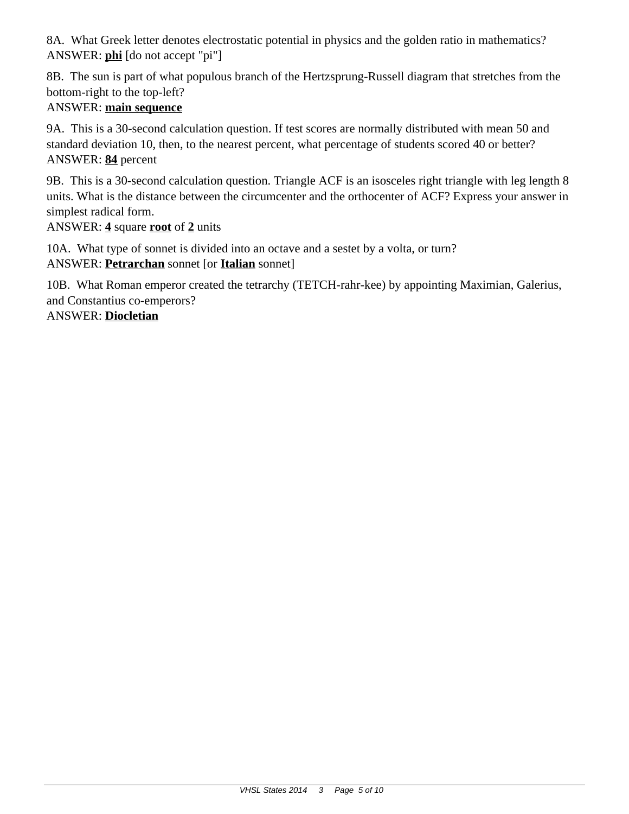8A. What Greek letter denotes electrostatic potential in physics and the golden ratio in mathematics? ANSWER: **phi** [do not accept "pi"]

8B. The sun is part of what populous branch of the Hertzsprung-Russell diagram that stretches from the bottom-right to the top-left?

# ANSWER: **main sequence**

9A. This is a 30-second calculation question. If test scores are normally distributed with mean 50 and standard deviation 10, then, to the nearest percent, what percentage of students scored 40 or better? ANSWER: **84** percent

9B. This is a 30-second calculation question. Triangle ACF is an isosceles right triangle with leg length 8 units. What is the distance between the circumcenter and the orthocenter of ACF? Express your answer in simplest radical form.

ANSWER: **4** square **root** of **2** units

10A. What type of sonnet is divided into an octave and a sestet by a volta, or turn? ANSWER: **Petrarchan** sonnet [or **Italian** sonnet]

10B. What Roman emperor created the tetrarchy (TETCH-rahr-kee) by appointing Maximian, Galerius, and Constantius co-emperors?

ANSWER: **Diocletian**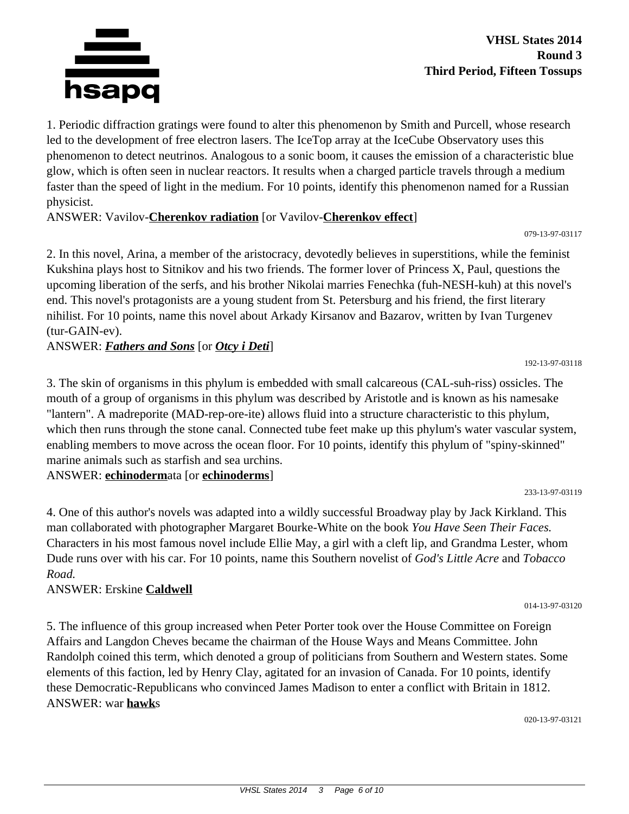

**VHSL States 2014 Round 3 Third Period, Fifteen Tossups**

1. Periodic diffraction gratings were found to alter this phenomenon by Smith and Purcell, whose research led to the development of free electron lasers. The IceTop array at the IceCube Observatory uses this phenomenon to detect neutrinos. Analogous to a sonic boom, it causes the emission of a characteristic blue glow, which is often seen in nuclear reactors. It results when a charged particle travels through a medium faster than the speed of light in the medium. For 10 points, identify this phenomenon named for a Russian physicist.

ANSWER: Vavilov-**Cherenkov radiation** [or Vavilov-**Cherenkov effect**]

079-13-97-03117

192-13-97-03118

233-13-97-03119

014-13-97-03120

2. In this novel, Arina, a member of the aristocracy, devotedly believes in superstitions, while the feminist Kukshina plays host to Sitnikov and his two friends. The former lover of Princess X, Paul, questions the upcoming liberation of the serfs, and his brother Nikolai marries Fenechka (fuh-NESH-kuh) at this novel's end. This novel's protagonists are a young student from St. Petersburg and his friend, the first literary nihilist. For 10 points, name this novel about Arkady Kirsanov and Bazarov, written by Ivan Turgenev (tur-GAIN-ev).

ANSWER: *Fathers and Sons* [or *Otcy i Deti*]

3. The skin of organisms in this phylum is embedded with small calcareous (CAL-suh-riss) ossicles. The mouth of a group of organisms in this phylum was described by Aristotle and is known as his namesake "lantern". A madreporite (MAD-rep-ore-ite) allows fluid into a structure characteristic to this phylum, which then runs through the stone canal. Connected tube feet make up this phylum's water vascular system, enabling members to move across the ocean floor. For 10 points, identify this phylum of "spiny-skinned" marine animals such as starfish and sea urchins.

ANSWER: **echinoderm**ata [or **echinoderms**]

4. One of this author's novels was adapted into a wildly successful Broadway play by Jack Kirkland. This man collaborated with photographer Margaret Bourke-White on the book *You Have Seen Their Faces.* Characters in his most famous novel include Ellie May, a girl with a cleft lip, and Grandma Lester, whom Dude runs over with his car. For 10 points, name this Southern novelist of *God's Little Acre* and *Tobacco Road.*

ANSWER: Erskine **Caldwell**

5. The influence of this group increased when Peter Porter took over the House Committee on Foreign Affairs and Langdon Cheves became the chairman of the House Ways and Means Committee. John Randolph coined this term, which denoted a group of politicians from Southern and Western states. Some elements of this faction, led by Henry Clay, agitated for an invasion of Canada. For 10 points, identify these Democratic-Republicans who convinced James Madison to enter a conflict with Britain in 1812. ANSWER: war **hawk**s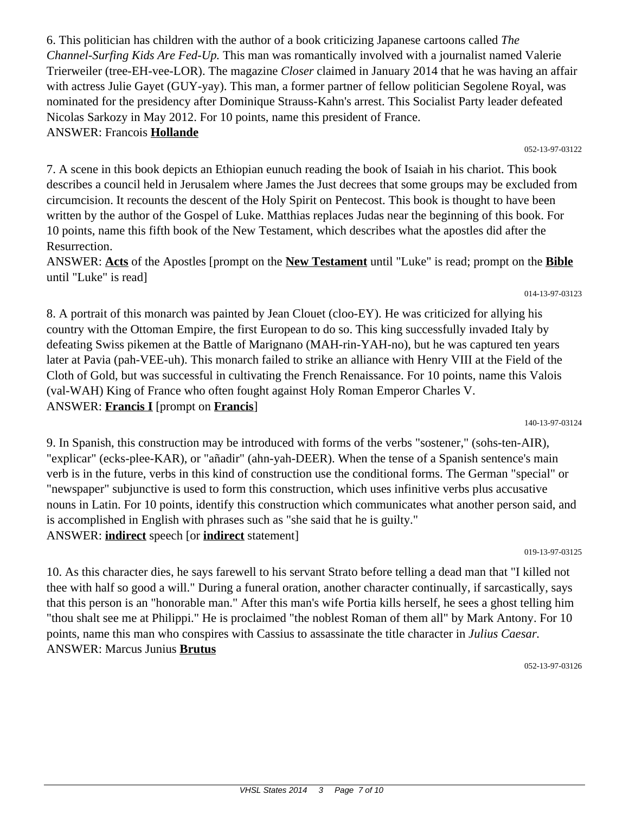6. This politician has children with the author of a book criticizing Japanese cartoons called *The Channel-Surfing Kids Are Fed-Up.* This man was romantically involved with a journalist named Valerie Trierweiler (tree-EH-vee-LOR). The magazine *Closer* claimed in January 2014 that he was having an affair with actress Julie Gayet (GUY-yay). This man, a former partner of fellow politician Segolene Royal, was nominated for the presidency after Dominique Strauss-Kahn's arrest. This Socialist Party leader defeated Nicolas Sarkozy in May 2012. For 10 points, name this president of France. ANSWER: Francois **Hollande**

7. A scene in this book depicts an Ethiopian eunuch reading the book of Isaiah in his chariot. This book describes a council held in Jerusalem where James the Just decrees that some groups may be excluded from circumcision. It recounts the descent of the Holy Spirit on Pentecost. This book is thought to have been written by the author of the Gospel of Luke. Matthias replaces Judas near the beginning of this book. For 10 points, name this fifth book of the New Testament, which describes what the apostles did after the Resurrection.

ANSWER: **Acts** of the Apostles [prompt on the **New Testament** until "Luke" is read; prompt on the **Bible** until "Luke" is read]

8. A portrait of this monarch was painted by Jean Clouet (cloo-EY). He was criticized for allying his country with the Ottoman Empire, the first European to do so. This king successfully invaded Italy by defeating Swiss pikemen at the Battle of Marignano (MAH-rin-YAH-no), but he was captured ten years later at Pavia (pah-VEE-uh). This monarch failed to strike an alliance with Henry VIII at the Field of the Cloth of Gold, but was successful in cultivating the French Renaissance. For 10 points, name this Valois (val-WAH) King of France who often fought against Holy Roman Emperor Charles V. ANSWER: **Francis I** [prompt on **Francis**]

9. In Spanish, this construction may be introduced with forms of the verbs "sostener," (sohs-ten-AIR), "explicar" (ecks-plee-KAR), or "añadir" (ahn-yah-DEER). When the tense of a Spanish sentence's main verb is in the future, verbs in this kind of construction use the conditional forms. The German "special" or "newspaper" subjunctive is used to form this construction, which uses infinitive verbs plus accusative nouns in Latin. For 10 points, identify this construction which communicates what another person said, and is accomplished in English with phrases such as "she said that he is guilty." ANSWER: **indirect** speech [or **indirect** statement]

019-13-97-03125

10. As this character dies, he says farewell to his servant Strato before telling a dead man that "I killed not thee with half so good a will." During a funeral oration, another character continually, if sarcastically, says that this person is an "honorable man." After this man's wife Portia kills herself, he sees a ghost telling him "thou shalt see me at Philippi." He is proclaimed "the noblest Roman of them all" by Mark Antony. For 10 points, name this man who conspires with Cassius to assassinate the title character in *Julius Caesar.* ANSWER: Marcus Junius **Brutus**

052-13-97-03126

#### 140-13-97-03124

#### 052-13-97-03122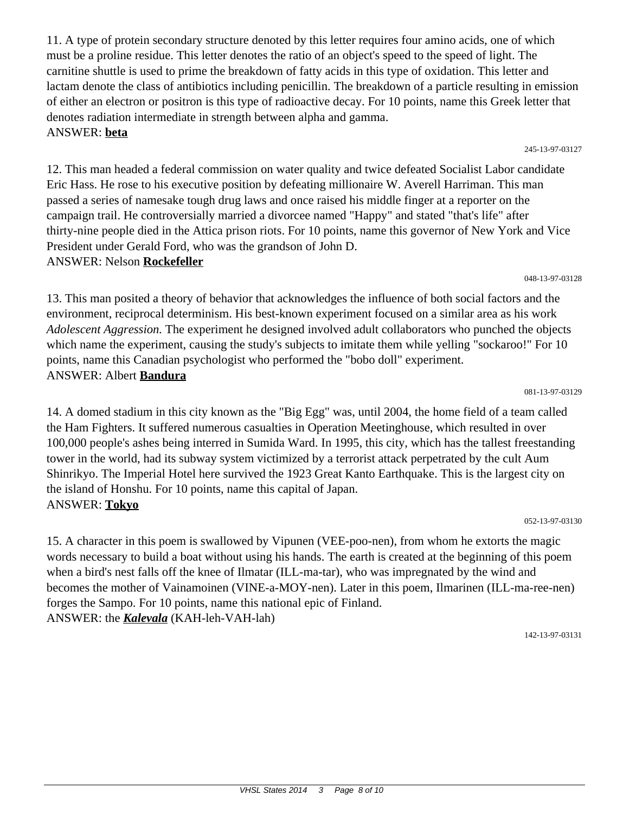11. A type of protein secondary structure denoted by this letter requires four amino acids, one of which must be a proline residue. This letter denotes the ratio of an object's speed to the speed of light. The carnitine shuttle is used to prime the breakdown of fatty acids in this type of oxidation. This letter and lactam denote the class of antibiotics including penicillin. The breakdown of a particle resulting in emission of either an electron or positron is this type of radioactive decay. For 10 points, name this Greek letter that denotes radiation intermediate in strength between alpha and gamma. ANSWER: **beta**

12. This man headed a federal commission on water quality and twice defeated Socialist Labor candidate Eric Hass. He rose to his executive position by defeating millionaire W. Averell Harriman. This man passed a series of namesake tough drug laws and once raised his middle finger at a reporter on the campaign trail. He controversially married a divorcee named "Happy" and stated "that's life" after thirty-nine people died in the Attica prison riots. For 10 points, name this governor of New York and Vice President under Gerald Ford, who was the grandson of John D. ANSWER: Nelson **Rockefeller**

13. This man posited a theory of behavior that acknowledges the influence of both social factors and the environment, reciprocal determinism. His best-known experiment focused on a similar area as his work *Adolescent Aggression.* The experiment he designed involved adult collaborators who punched the objects which name the experiment, causing the study's subjects to imitate them while yelling "sockaroo!" For 10 points, name this Canadian psychologist who performed the "bobo doll" experiment. ANSWER: Albert **Bandura**

14. A domed stadium in this city known as the "Big Egg" was, until 2004, the home field of a team called the Ham Fighters. It suffered numerous casualties in Operation Meetinghouse, which resulted in over 100,000 people's ashes being interred in Sumida Ward. In 1995, this city, which has the tallest freestanding tower in the world, had its subway system victimized by a terrorist attack perpetrated by the cult Aum Shinrikyo. The Imperial Hotel here survived the 1923 Great Kanto Earthquake. This is the largest city on the island of Honshu. For 10 points, name this capital of Japan. ANSWER: **Tokyo**

15. A character in this poem is swallowed by Vipunen (VEE-poo-nen), from whom he extorts the magic words necessary to build a boat without using his hands. The earth is created at the beginning of this poem when a bird's nest falls off the knee of Ilmatar (ILL-ma-tar), who was impregnated by the wind and becomes the mother of Vainamoinen (VINE-a-MOY-nen). Later in this poem, Ilmarinen (ILL-ma-ree-nen) forges the Sampo. For 10 points, name this national epic of Finland. ANSWER: the *Kalevala* (KAH-leh-VAH-lah)

142-13-97-03131

081-13-97-03129

048-13-97-03128

#### 052-13-97-03130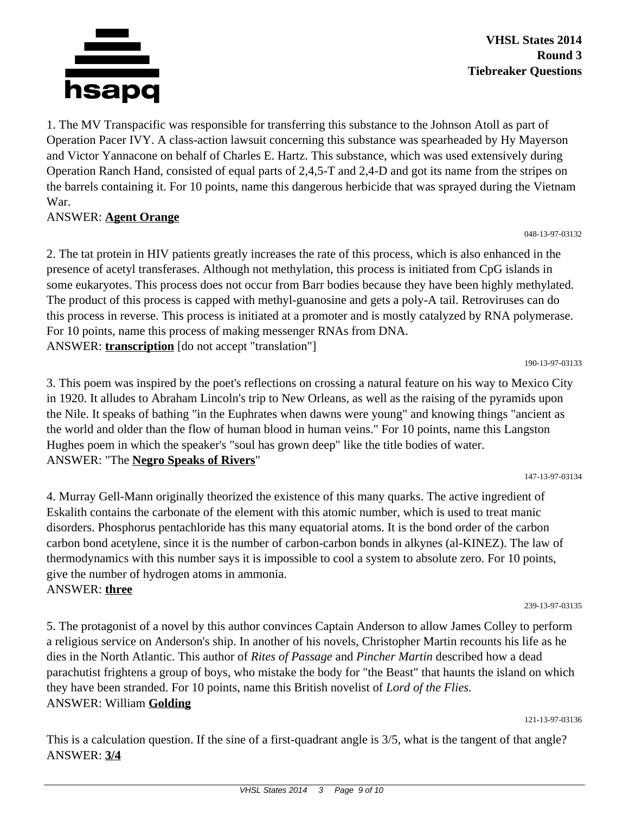

1. The MV Transpacific was responsible for transferring this substance to the Johnson Atoll as part of Operation Pacer IVY. A class-action lawsuit concerning this substance was spearheaded by Hy Mayerson and Victor Yannacone on behalf of Charles E. Hartz. This substance, which was used extensively during Operation Ranch Hand, consisted of equal parts of 2,4,5-T and 2,4-D and got its name from the stripes on the barrels containing it. For 10 points, name this dangerous herbicide that was sprayed during the Vietnam War.

#### ANSWER: **Agent Orange**

2. The tat protein in HIV patients greatly increases the rate of this process, which is also enhanced in the presence of acetyl transferases. Although not methylation, this process is initiated from CpG islands in some eukaryotes. This process does not occur from Barr bodies because they have been highly methylated. The product of this process is capped with methyl-guanosine and gets a poly-A tail. Retroviruses can do this process in reverse. This process is initiated at a promoter and is mostly catalyzed by RNA polymerase. For 10 points, name this process of making messenger RNAs from DNA. ANSWER: **transcription** [do not accept "translation"]

190-13-97-03133

048-13-97-03132

3. This poem was inspired by the poet's reflections on crossing a natural feature on his way to Mexico City in 1920. It alludes to Abraham Lincoln's trip to New Orleans, as well as the raising of the pyramids upon the Nile. It speaks of bathing "in the Euphrates when dawns were young" and knowing things "ancient as the world and older than the flow of human blood in human veins." For 10 points, name this Langston Hughes poem in which the speaker's "soul has grown deep" like the title bodies of water. ANSWER: "The **Negro Speaks of Rivers**"

147-13-97-03134

4. Murray Gell-Mann originally theorized the existence of this many quarks. The active ingredient of Eskalith contains the carbonate of the element with this atomic number, which is used to treat manic disorders. Phosphorus pentachloride has this many equatorial atoms. It is the bond order of the carbon carbon bond acetylene, since it is the number of carbon-carbon bonds in alkynes (al-KINEZ). The law of thermodynamics with this number says it is impossible to cool a system to absolute zero. For 10 points, give the number of hydrogen atoms in ammonia. ANSWER: **three**

239-13-97-03135

5. The protagonist of a novel by this author convinces Captain Anderson to allow James Colley to perform a religious service on Anderson's ship. In another of his novels, Christopher Martin recounts his life as he dies in the North Atlantic. This author of *Rites of Passage* and *Pincher Martin* described how a dead parachutist frightens a group of boys, who mistake the body for "the Beast" that haunts the island on which they have been stranded. For 10 points, name this British novelist of *Lord of the Flies.* ANSWER: William **Golding**

121-13-97-03136

This is a calculation question. If the sine of a first-quadrant angle is 3/5, what is the tangent of that angle? ANSWER: **3/4**